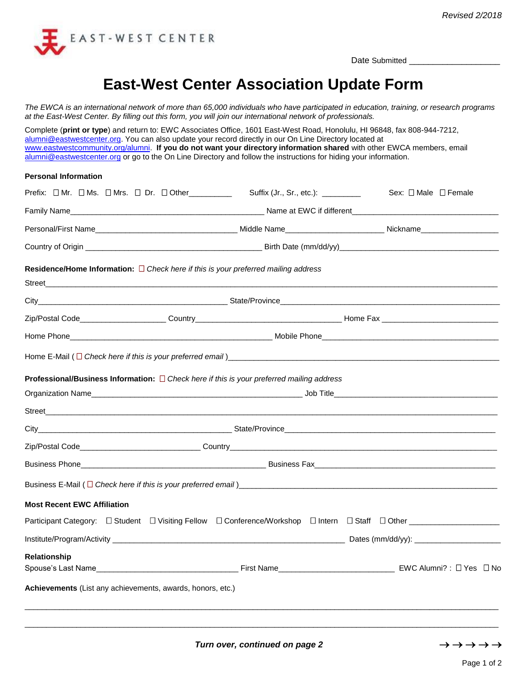

Date Submitted \_\_\_\_\_\_\_\_\_\_\_\_\_\_\_\_\_\_\_

# **East-West Center Association Update Form**

*The EWCA is an international network of more than 65,000 individuals who have participated in education, training, or research programs at the East-West Center. By filling out this form, you will join our international network of professionals.* 

Complete (**print or type**) and return to: EWC Associates Office, 1601 East-West Road, Honolulu, HI 96848, fax 808-944-7212, [alumni@eastwestcenter.org.](mailto:alumni@eastwestcenter.org) You can also update your record directly in our On Line Directory located at [www.eastwestcommunity.org/alumni.](http://www.eastwestcommunity.org/alumni) **If you do not want your directory information shared** with other EWCA members, email [alumni@eastwestcenter.org](mailto:alumni@eastwestcenter.org) or go to the On Line Directory and follow the instructions for hiding your information.

#### **Personal Information**

| Prefix: OMr. OMs. OMrs. ODr. OOther_________                                                   |  | Suffix (Jr., Sr., etc.): _________ | Sex: $\Box$ Male $\Box$ Female                                                                                                                |  |  |
|------------------------------------------------------------------------------------------------|--|------------------------------------|-----------------------------------------------------------------------------------------------------------------------------------------------|--|--|
|                                                                                                |  |                                    |                                                                                                                                               |  |  |
|                                                                                                |  |                                    | Personal/First Name Name Name Nickname Nickname Nickname Nickname Nickname Nickname Nickname                                                  |  |  |
|                                                                                                |  |                                    |                                                                                                                                               |  |  |
| Residence/Home Information: $\Box$ Check here if this is your preferred mailing address        |  |                                    |                                                                                                                                               |  |  |
|                                                                                                |  |                                    |                                                                                                                                               |  |  |
|                                                                                                |  |                                    |                                                                                                                                               |  |  |
|                                                                                                |  |                                    |                                                                                                                                               |  |  |
|                                                                                                |  |                                    |                                                                                                                                               |  |  |
|                                                                                                |  |                                    |                                                                                                                                               |  |  |
| Professional/Business Information: $\Box$ Check here if this is your preferred mailing address |  |                                    |                                                                                                                                               |  |  |
|                                                                                                |  |                                    |                                                                                                                                               |  |  |
|                                                                                                |  |                                    |                                                                                                                                               |  |  |
|                                                                                                |  |                                    |                                                                                                                                               |  |  |
|                                                                                                |  |                                    |                                                                                                                                               |  |  |
|                                                                                                |  |                                    |                                                                                                                                               |  |  |
|                                                                                                |  |                                    |                                                                                                                                               |  |  |
| <b>Most Recent EWC Affiliation</b>                                                             |  |                                    |                                                                                                                                               |  |  |
|                                                                                                |  |                                    | Participant Category: □ Student □ Visiting Fellow □ Conference/Workshop □ Intern □ Staff □ Other ___________________                          |  |  |
|                                                                                                |  |                                    |                                                                                                                                               |  |  |
| Relationship                                                                                   |  |                                    |                                                                                                                                               |  |  |
|                                                                                                |  |                                    | Spouse's Last Name <b>No. 1998</b> Contract on the Spouse's Last Name <b>Contract Contract On the Spouse's Last Name Contract On No. 1999</b> |  |  |
| Achievements (List any achievements, awards, honors, etc.)                                     |  |                                    |                                                                                                                                               |  |  |
|                                                                                                |  |                                    |                                                                                                                                               |  |  |

\_\_\_\_\_\_\_\_\_\_\_\_\_\_\_\_\_\_\_\_\_\_\_\_\_\_\_\_\_\_\_\_\_\_\_\_\_\_\_\_\_\_\_\_\_\_\_\_\_\_\_\_\_\_\_\_\_\_\_\_\_\_\_\_\_\_\_\_\_\_\_\_\_\_\_\_\_\_\_\_\_\_\_\_\_\_\_\_\_\_\_\_\_\_\_\_\_\_\_\_\_\_\_\_\_\_\_\_\_\_